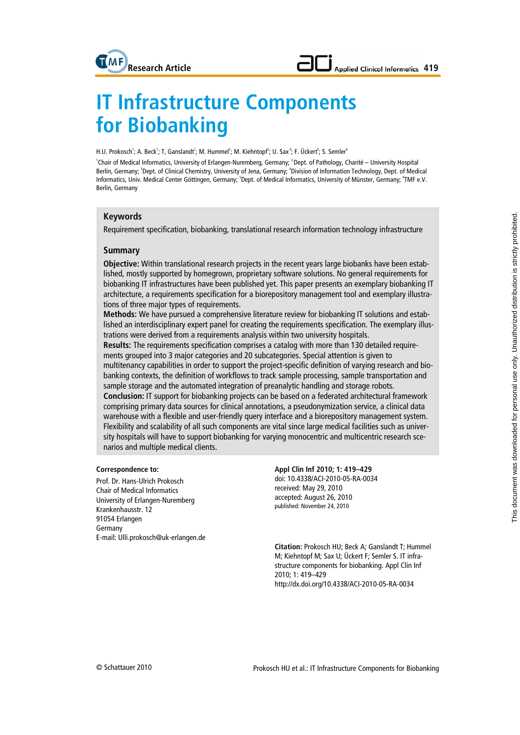# **IT Infrastructure Components for Biobanking**

H.U. Prokosch<sup>1</sup>; A. Beck<sup>1</sup>; T, Ganslandt<sup>1</sup>; M. Hummel<sup>2</sup>; M. Kiehntopf<sup>3</sup>; U. Sax<sup>4</sup>; F. Ückert<sup>5</sup>; S. Semler<sup>6</sup>

<sup>1</sup>Chair of Medical Informatics, University of Erlangen-Nuremberg, Germany; <sup>2</sup> Dept. of Pathology, Charité – University Hospital Berlin, Germany; <sup>3</sup>Dept. of Clinical Chemistry, University of Jena, Germany; <sup>4</sup>Division of Information Technology, Dept. of Medical Informatics, Univ. Medical Center Göttingen, Germany; <sup>5</sup>Dept. of Medical Informatics, University of Münster, Germany; <sup>6</sup>TMF e.V. Berlin, Germany

## **Keywords**

Requirement specification, biobanking, translational research information technology infrastructure

### **Summary**

**Objective:** Within translational research projects in the recent years large biobanks have been established, mostly supported by homegrown, proprietary software solutions. No general requirements for biobanking IT infrastructures have been published yet. This paper presents an exemplary biobanking IT architecture, a requirements specification for a biorepository management tool and exemplary illustrations of three major types of requirements.

**Methods:** We have pursued a comprehensive literature review for biobanking IT solutions and established an interdisciplinary expert panel for creating the requirements specification. The exemplary illustrations were derived from a requirements analysis within two university hospitals.

**Results:** The requirements specification comprises a catalog with more than 130 detailed requirements grouped into 3 major categories and 20 subcategories. Special attention is given to multitenancy capabilities in order to support the project-specific definition of varying research and biobanking contexts, the definition of workflows to track sample processing, sample transportation and sample storage and the automated integration of preanalytic handling and storage robots.

**Conclusion:** IT support for biobanking projects can be based on a federated architectural framework comprising primary data sources for clinical annotations, a pseudonymization service, a clinical data warehouse with a flexible and user-friendly query interface and a biorepository management system. Flexibility and scalability of all such components are vital since large medical facilities such as university hospitals will have to support biobanking for varying monocentric and multicentric research scenarios and multiple medical clients.

#### **Correspondence to:**

Prof. Dr. Hans-Ulrich Prokosch Chair of Medical Informatics University of Erlangen-Nuremberg Krankenhausstr. 12 91054 Erlangen Germany E-mail: Ulli.prokosch@uk-erlangen.de

# **Appl Clin Inf 2010; 1: 419–429**

doi: 10.4338/ACI-2010-05-RA-0034 received: May 29, 2010 accepted: August 26, 2010 published: November 24, 2010

**Citation:** Prokosch HU; Beck A; Ganslandt T; Hummel M; Kiehntopf M; Sax U; Ückert F; Semler S. IT infrastructure components for biobanking. Appl Clin Inf 2010; 1: 419–429 http://dx.doi.org/10.4338/ACI-2010-05-RA-0034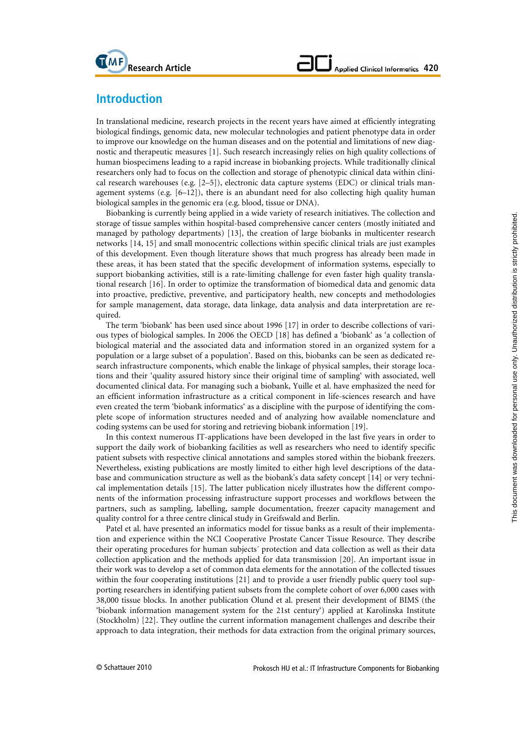

# **Introduction**

In translational medicine, research projects in the recent years have aimed at efficiently integrating biological findings, genomic data, new molecular technologies and patient phenotype data in order to improve our knowledge on the human diseases and on the potential and limitations of new diagnostic and therapeutic measures [1]. Such research increasingly relies on high quality collections of human biospecimens leading to a rapid increase in biobanking projects. While traditionally clinical researchers only had to focus on the collection and storage of phenotypic clinical data within clinical research warehouses (e.g. [2–5]), electronic data capture systems (EDC) or clinical trials management systems (e.g. [6–12]), there is an abundant need for also collecting high quality human biological samples in the genomic era (e.g. blood, tissue or DNA).

Biobanking is currently being applied in a wide variety of research initiatives. The collection and storage of tissue samples within hospital-based comprehensive cancer centers (mostly initiated and managed by pathology departments) [13], the creation of large biobanks in multicenter research networks [14, 15] and small monocentric collections within specific clinical trials are just examples of this development. Even though literature shows that much progress has already been made in these areas, it has been stated that the specific development of information systems, especially to support biobanking activities, still is a rate-limiting challenge for even faster high quality translational research [16]. In order to optimize the transformation of biomedical data and genomic data into proactive, predictive, preventive, and participatory health, new concepts and methodologies for sample management, data storage, data linkage, data analysis and data interpretation are required.

The term 'biobank' has been used since about 1996 [17] in order to describe collections of various types of biological samples. In 2006 the OECD [18] has defined a 'biobank' as 'a collection of biological material and the associated data and information stored in an organized system for a population or a large subset of a population'. Based on this, biobanks can be seen as dedicated research infrastructure components, which enable the linkage of physical samples, their storage locations and their 'quality assured history since their original time of sampling' with associated, well documented clinical data. For managing such a biobank, Yuille et al. have emphasized the need for an efficient information infrastructure as a critical component in life-sciences research and have even created the term 'biobank informatics' as a discipline with the purpose of identifying the complete scope of information structures needed and of analyzing how available nomenclature and coding systems can be used for storing and retrieving biobank information [19].

In this context numerous IT-applications have been developed in the last five years in order to support the daily work of biobanking facilities as well as researchers who need to identify specific patient subsets with respective clinical annotations and samples stored within the biobank freezers. Nevertheless, existing publications are mostly limited to either high level descriptions of the database and communication structure as well as the biobank's data safety concept [14] or very technical implementation details [15]. The latter publication nicely illustrates how the different components of the information processing infrastructure support processes and workflows between the partners, such as sampling, labelling, sample documentation, freezer capacity management and quality control for a three centre clinical study in Greifswald and Berlin.

Patel et al. have presented an informatics model for tissue banks as a result of their implementation and experience within the NCI Cooperative Prostate Cancer Tissue Resource. They describe their operating procedures for human subjects´ protection and data collection as well as their data collection application and the methods applied for data transmission [20]. An important issue in their work was to develop a set of common data elements for the annotation of the collected tissues within the four cooperating institutions [21] and to provide a user friendly public query tool supporting researchers in identifying patient subsets from the complete cohort of over 6,000 cases with 38,000 tissue blocks. In another publication Ölund et al. present their development of BIMS (the 'biobank information management system for the 21st century') applied at Karolinska Institute (Stockholm) [22]. They outline the current information management challenges and describe their approach to data integration, their methods for data extraction from the original primary sources,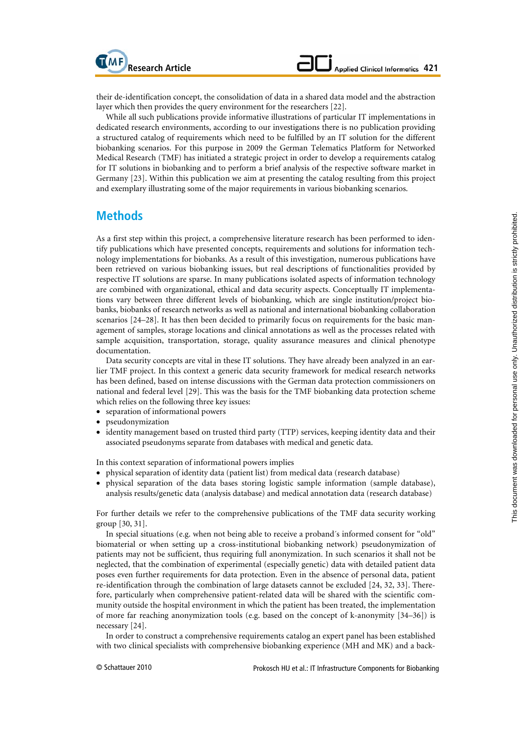

their de-identification concept, the consolidation of data in a shared data model and the abstraction layer which then provides the query environment for the researchers [22].

While all such publications provide informative illustrations of particular IT implementations in dedicated research environments, according to our investigations there is no publication providing a structured catalog of requirements which need to be fulfilled by an IT solution for the different biobanking scenarios. For this purpose in 2009 the German Telematics Platform for Networked Medical Research (TMF) has initiated a strategic project in order to develop a requirements catalog for IT solutions in biobanking and to perform a brief analysis of the respective software market in Germany [23]. Within this publication we aim at presenting the catalog resulting from this project and exemplary illustrating some of the major requirements in various biobanking scenarios.

# **Methods**

As a first step within this project, a comprehensive literature research has been performed to identify publications which have presented concepts, requirements and solutions for information technology implementations for biobanks. As a result of this investigation, numerous publications have been retrieved on various biobanking issues, but real descriptions of functionalities provided by respective IT solutions are sparse. In many publications isolated aspects of information technology are combined with organizational, ethical and data security aspects. Conceptually IT implementations vary between three different levels of biobanking, which are single institution/project biobanks, biobanks of research networks as well as national and international biobanking collaboration scenarios [24–28]. It has then been decided to primarily focus on requirements for the basic management of samples, storage locations and clinical annotations as well as the processes related with sample acquisition, transportation, storage, quality assurance measures and clinical phenotype documentation.

Data security concepts are vital in these IT solutions. They have already been analyzed in an earlier TMF project. In this context a generic data security framework for medical research networks has been defined, based on intense discussions with the German data protection commissioners on national and federal level [29]. This was the basis for the TMF biobanking data protection scheme which relies on the following three key issues:

- separation of informational powers
- pseudonymization
- identity management based on trusted third party (TTP) services, keeping identity data and their associated pseudonyms separate from databases with medical and genetic data.

In this context separation of informational powers implies

- physical separation of identity data (patient list) from medical data (research database)
- physical separation of the data bases storing logistic sample information (sample database), analysis results/genetic data (analysis database) and medical annotation data (research database)

For further details we refer to the comprehensive publications of the TMF data security working group [30, 31].

In special situations (e.g. when not being able to receive a proband´s informed consent for "old" biomaterial or when setting up a cross-institutional biobanking network) pseudonymization of patients may not be sufficient, thus requiring full anonymization. In such scenarios it shall not be neglected, that the combination of experimental (especially genetic) data with detailed patient data poses even further requirements for data protection. Even in the absence of personal data, patient re-identification through the combination of large datasets cannot be excluded [24, 32, 33]. Therefore, particularly when comprehensive patient-related data will be shared with the scientific community outside the hospital environment in which the patient has been treated, the implementation of more far reaching anonymization tools (e.g. based on the concept of k-anonymity [34–36]) is necessary [24].

In order to construct a comprehensive requirements catalog an expert panel has been established with two clinical specialists with comprehensive biobanking experience (MH and MK) and a back-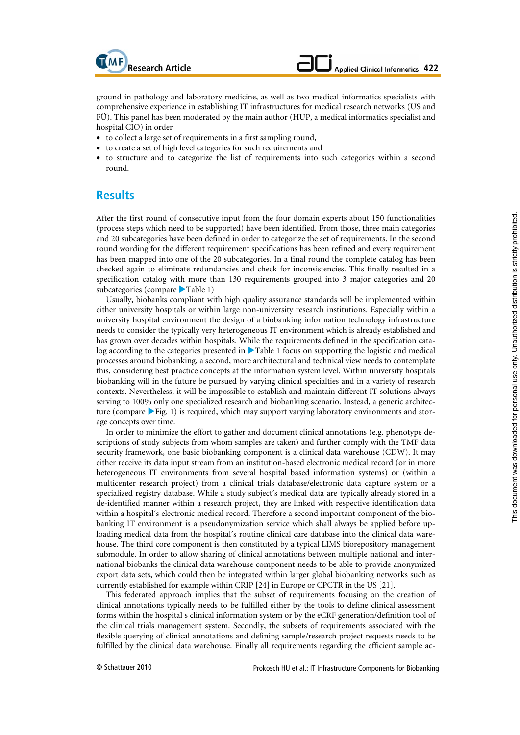

ground in pathology and laboratory medicine, as well as two medical informatics specialists with comprehensive experience in establishing IT infrastructures for medical research networks (US and FÜ). This panel has been moderated by the main author (HUP, a medical informatics specialist and hospital CIO) in order

- to collect a large set of requirements in a first sampling round,
- to create a set of high level categories for such requirements and
- to structure and to categorize the list of requirements into such categories within a second round.

## **Results**

After the first round of consecutive input from the four domain experts about 150 functionalities (process steps which need to be supported) have been identified. From those, three main categories and 20 subcategories have been defined in order to categorize the set of requirements. In the second round wording for the different requirement specifications has been refined and every requirement has been mapped into one of the 20 subcategories. In a final round the complete catalog has been checked again to eliminate redundancies and check for inconsistencies. This finally resulted in a specification catalog with more than 130 requirements grouped into 3 major categories and 20 subcategories (compare Table 1)

Usually, biobanks compliant with high quality assurance standards will be implemented within either university hospitals or within large non-university research institutions. Especially within a university hospital environment the design of a biobanking information technology infrastructure needs to consider the typically very heterogeneous IT environment which is already established and has grown over decades within hospitals. While the requirements defined in the specification catalog according to the categories presented in  $\blacktriangleright$  Table 1 focus on supporting the logistic and medical processes around biobanking, a second, more architectural and technical view needs to contemplate this, considering best practice concepts at the information system level. Within university hospitals biobanking will in the future be pursued by varying clinical specialties and in a variety of research contexts. Nevertheless, it will be impossible to establish and maintain different IT solutions always serving to 100% only one specialized research and biobanking scenario. Instead, a generic architecture (compare  $\blacktriangleright$  Fig. 1) is required, which may support varying laboratory environments and storage concepts over time.

In order to minimize the effort to gather and document clinical annotations (e.g. phenotype descriptions of study subjects from whom samples are taken) and further comply with the TMF data security framework, one basic biobanking component is a clinical data warehouse (CDW). It may either receive its data input stream from an institution-based electronic medical record (or in more heterogeneous IT environments from several hospital based information systems) or (within a multicenter research project) from a clinical trials database/electronic data capture system or a specialized registry database. While a study subject´s medical data are typically already stored in a de-identified manner within a research project, they are linked with respective identification data within a hospital´s electronic medical record. Therefore a second important component of the biobanking IT environment is a pseudonymization service which shall always be applied before uploading medical data from the hospital´s routine clinical care database into the clinical data warehouse. The third core component is then constituted by a typical LIMS biorepository management submodule. In order to allow sharing of clinical annotations between multiple national and international biobanks the clinical data warehouse component needs to be able to provide anonymized export data sets, which could then be integrated within larger global biobanking networks such as currently established for example within CRIP [24] in Europe or CPCTR in the US [21].

This federated approach implies that the subset of requirements focusing on the creation of clinical annotations typically needs to be fulfilled either by the tools to define clinical assessment forms within the hospital´s clinical information system or by the eCRF generation/definition tool of the clinical trials management system. Secondly, the subsets of requirements associated with the flexible querying of clinical annotations and defining sample/research project requests needs to be fulfilled by the clinical data warehouse. Finally all requirements regarding the efficient sample ac-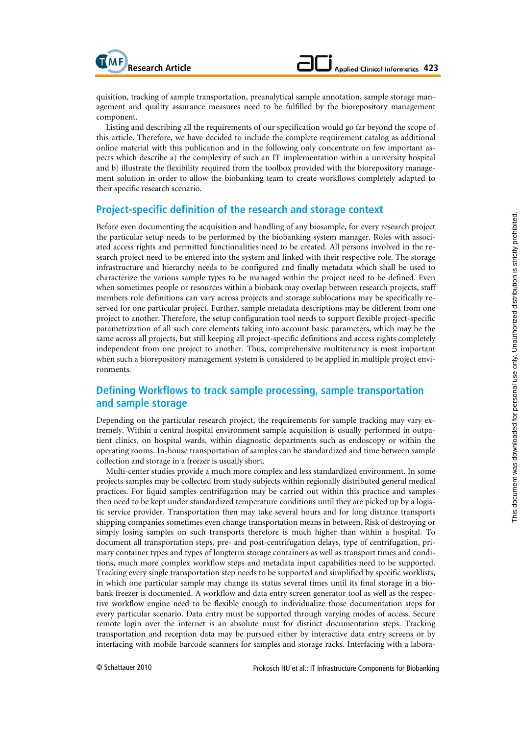

quisition, tracking of sample transportation, preanalytical sample annotation, sample storage management and quality assurance measures need to be fulfilled by the biorepository management component.

Listing and describing all the requirements of our specification would go far beyond the scope of this article. Therefore, we have decided to include the complete requirement catalog as additional online material with this publication and in the following only concentrate on few important aspects which describe a) the complexity of such an IT implementation within a university hospital and b) illustrate the flexibility required from the toolbox provided with the biorepository management solution in order to allow the biobanking team to create workflows completely adapted to their specific research scenario.

## **Project-specific definition of the research and storage context**

**TMF** Research Article

Before even documenting the acquisition and handling of any biosample, for every research project the particular setup needs to be performed by the biobanking system manager. Roles with associated access rights and permitted functionalities need to be created. All persons involved in the research project need to be entered into the system and linked with their respective role. The storage infrastructure and hierarchy needs to be configured and finally metadata which shall be used to characterize the various sample types to be managed within the project need to be defined. Even when sometimes people or resources within a biobank may overlap between research projects, staff members role definitions can vary across projects and storage sublocations may be specifically reserved for one particular project. Further, sample metadata descriptions may be different from one project to another. Therefore, the setup configuration tool needs to support flexible project-specific parametrization of all such core elements taking into account basic parameters, which may be the same across all projects, but still keeping all project-specific definitions and access rights completely independent from one project to another. Thus, comprehensive multitenancy is most important when such a biorepository management system is considered to be applied in multiple project environments.

## **Defining Workflows to track sample processing, sample transportation and sample storage**

Depending on the particular research project, the requirements for sample tracking may vary extremely. Within a central hospital environment sample acquisition is usually performed in outpatient clinics, on hospital wards, within diagnostic departments such as endoscopy or within the operating rooms. In-house transportation of samples can be standardized and time between sample collection and storage in a freezer is usually short.

Multi-center studies provide a much more complex and less standardized environment. In some projects samples may be collected from study subjects within regionally distributed general medical practices. For liquid samples centrifugation may be carried out within this practice and samples then need to be kept under standardized temperature conditions until they are picked up by a logistic service provider. Transportation then may take several hours and for long distance transports shipping companies sometimes even change transportation means in between. Risk of destroying or simply losing samples on such transports therefore is much higher than within a hospital. To document all transportation steps, pre- and post-centrifugation delays, type of centrifugation, primary container types and types of longterm storage containers as well as transport times and conditions, much more complex workflow steps and metadata input capabilities need to be supported. Tracking every single transportation step needs to be supported and simplified by specific worklists, in which one particular sample may change its status several times until its final storage in a biobank freezer is documented. A workflow and data entry screen generator tool as well as the respective workflow engine need to be flexible enough to individualize those documentation steps for every particular scenario. Data entry must be supported through varying modes of access. Secure remote login over the internet is an absolute must for distinct documentation steps. Tracking transportation and reception data may be pursued either by interactive data entry screens or by interfacing with mobile barcode scanners for samples and storage racks. Interfacing with a labora-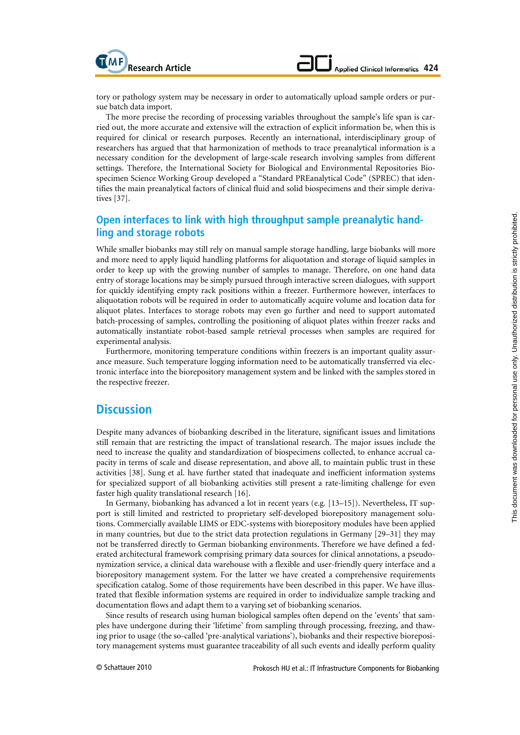

tory or pathology system may be necessary in order to automatically upload sample orders or pursue batch data import.

The more precise the recording of processing variables throughout the sample's life span is carried out, the more accurate and extensive will the extraction of explicit information be, when this is required for clinical or research purposes. Recently an international, interdisciplinary group of researchers has argued that that harmonization of methods to trace preanalytical information is a necessary condition for the development of large-scale research involving samples from different settings. Therefore, the International Society for Biological and Environmental Repositories Biospecimen Science Working Group developed a "Standard PREanalytical Code" (SPREC) that identifies the main preanalytical factors of clinical fluid and solid biospecimens and their simple derivatives [37].

## **Open interfaces to link with high throughput sample preanalytic handling and storage robots**

While smaller biobanks may still rely on manual sample storage handling, large biobanks will more and more need to apply liquid handling platforms for aliquotation and storage of liquid samples in order to keep up with the growing number of samples to manage. Therefore, on one hand data entry of storage locations may be simply pursued through interactive screen dialogues, with support for quickly identifying empty rack positions within a freezer. Furthermore however, interfaces to aliquotation robots will be required in order to automatically acquire volume and location data for aliquot plates. Interfaces to storage robots may even go further and need to support automated batch-processing of samples, controlling the positioning of aliquot plates within freezer racks and automatically instantiate robot-based sample retrieval processes when samples are required for experimental analysis.

Furthermore, monitoring temperature conditions within freezers is an important quality assurance measure. Such temperature logging information need to be automatically transferred via electronic interface into the biorepository management system and be linked with the samples stored in the respective freezer.

## **Discussion**

Despite many advances of biobanking described in the literature, significant issues and limitations still remain that are restricting the impact of translational research. The major issues include the need to increase the quality and standardization of biospecimens collected, to enhance accrual capacity in terms of scale and disease representation, and above all, to maintain public trust in these activities [38]. Sung et al. have further stated that inadequate and inefficient information systems for specialized support of all biobanking activities still present a rate-limiting challenge for even faster high quality translational research [16].

In Germany, biobanking has advanced a lot in recent years (e.g. [13–15]). Nevertheless, IT support is still limited and restricted to proprietary self-developed biorepository management solutions. Commercially available LIMS or EDC-systems with biorepository modules have been applied in many countries, but due to the strict data protection regulations in Germany [29–31] they may not be transferred directly to German biobanking environments. Therefore we have defined a federated architectural framework comprising primary data sources for clinical annotations, a pseudonymization service, a clinical data warehouse with a flexible and user-friendly query interface and a biorepository management system. For the latter we have created a comprehensive requirements specification catalog. Some of those requirements have been described in this paper. We have illustrated that flexible information systems are required in order to individualize sample tracking and documentation flows and adapt them to a varying set of biobanking scenarios.

Since results of research using human biological samples often depend on the 'events' that samples have undergone during their 'lifetime' from sampling through processing, freezing, and thawing prior to usage (the so-called 'pre-analytical variations'), biobanks and their respective biorepository management systems must guarantee traceability of all such events and ideally perform quality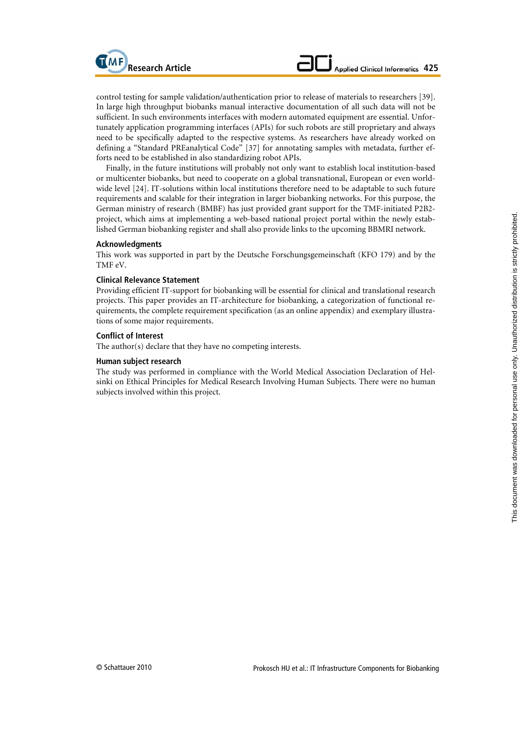

Finally, in the future institutions will probably not only want to establish local institution-based or multicenter biobanks, but need to cooperate on a global transnational, European or even worldwide level [24]. IT-solutions within local institutions therefore need to be adaptable to such future requirements and scalable for their integration in larger biobanking networks. For this purpose, the German ministry of research (BMBF) has just provided grant support for the TMF-initiated P2B2 project, which aims at implementing a web-based national project portal within the newly established German biobanking register and shall also provide links to the upcoming BBMRI network.

#### **Acknowledgments**

This work was supported in part by the Deutsche Forschungsgemeinschaft (KFO 179) and by the TMF eV.

#### **Clinical Relevance Statement**

 **Research Article** 

Providing efficient IT-support for biobanking will be essential for clinical and translational research projects. This paper provides an IT-architecture for biobanking, a categorization of functional requirements, the complete requirement specification (as an online appendix) and exemplary illustrations of some major requirements.

#### **Conflict of Interest**

The author(s) declare that they have no competing interests.

#### **Human subject research**

The study was performed in compliance with the World Medical Association Declaration of Helsinki on Ethical Principles for Medical Research Involving Human Subjects. There were no human subjects involved within this project.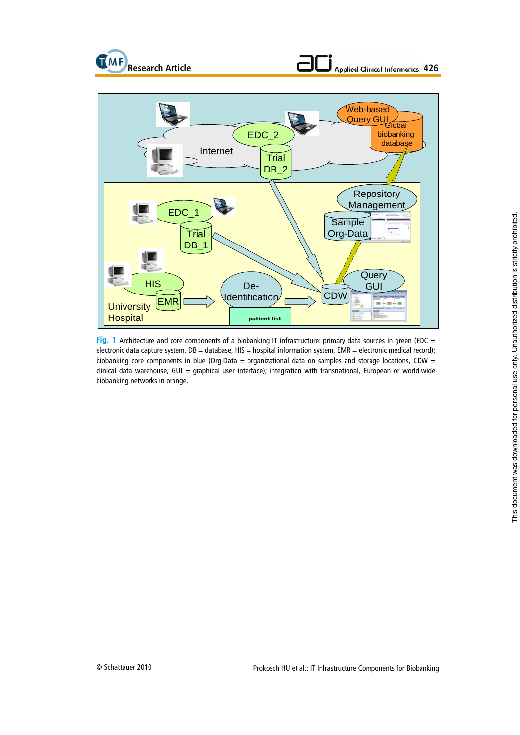

**Fig. 1** Architecture and core components of a biobanking IT infrastructure: primary data sources in green (EDC = electronic data capture system, DB = database, HIS = hospital information system, EMR = electronic medical record); biobanking core components in blue (Org-Data = organizational data on samples and storage locations, CDW = clinical data warehouse, GUI = graphical user interface); integration with transnational, European or world-wide biobanking networks in orange.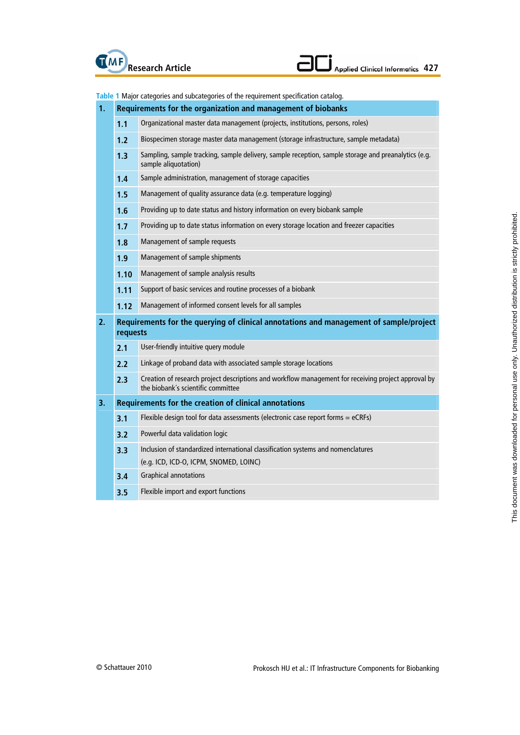**Table 1** Major categories and subcategories of the requirement specification catalog.

**TMF** Research Article

| 1. | Requirements for the organization and management of biobanks                                       |                                                                                                                                           |
|----|----------------------------------------------------------------------------------------------------|-------------------------------------------------------------------------------------------------------------------------------------------|
|    | 1.1                                                                                                | Organizational master data management (projects, institutions, persons, roles)                                                            |
|    | 1.2                                                                                                | Biospecimen storage master data management (storage infrastructure, sample metadata)                                                      |
|    | 1.3                                                                                                | Sampling, sample tracking, sample delivery, sample reception, sample storage and preanalytics (e.g.<br>sample aliquotation)               |
|    | 1.4                                                                                                | Sample administration, management of storage capacities                                                                                   |
|    | 1.5                                                                                                | Management of quality assurance data (e.g. temperature logging)                                                                           |
|    | 1.6                                                                                                | Providing up to date status and history information on every biobank sample                                                               |
|    | 1.7                                                                                                | Providing up to date status information on every storage location and freezer capacities                                                  |
|    | 1.8                                                                                                | Management of sample requests                                                                                                             |
|    | 1.9                                                                                                | Management of sample shipments                                                                                                            |
|    | 1.10                                                                                               | Management of sample analysis results                                                                                                     |
|    | 1.11                                                                                               | Support of basic services and routine processes of a biobank                                                                              |
|    | 1.12                                                                                               | Management of informed consent levels for all samples                                                                                     |
| 2. | Requirements for the querying of clinical annotations and management of sample/project<br>requests |                                                                                                                                           |
|    | 2.1                                                                                                | User-friendly intuitive query module                                                                                                      |
|    | 2.2                                                                                                | Linkage of proband data with associated sample storage locations                                                                          |
|    | 2.3                                                                                                | Creation of research project descriptions and workflow management for receiving project approval by<br>the biobank's scientific committee |
| 3. | Requirements for the creation of clinical annotations                                              |                                                                                                                                           |
|    | 3.1                                                                                                | Flexible design tool for data assessments (electronic case report forms $=$ eCRFs)                                                        |
|    | 3.2                                                                                                | Powerful data validation logic                                                                                                            |
|    | 3.3                                                                                                | Inclusion of standardized international classification systems and nomenclatures<br>(e.g. ICD, ICD-O, ICPM, SNOMED, LOINC)                |
|    | 3.4                                                                                                | <b>Graphical annotations</b>                                                                                                              |
|    | 3.5                                                                                                | Flexible import and export functions                                                                                                      |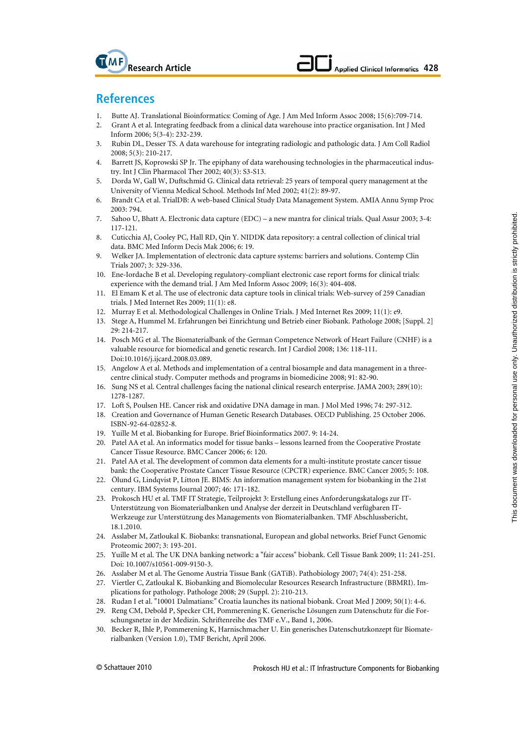# **References**

- 1. Butte AJ. Translational Bioinformatics: Coming of Age. J Am Med Inform Assoc 2008; 15(6):709-714.
- 2. Grant A et al. Integrating feedback from a clinical data warehouse into practice organisation. Int J Med Inform 2006; 5(3-4): 232-239.
- 3. Rubin DL, Desser TS. A data warehouse for integrating radiologic and pathologic data. J Am Coll Radiol 2008; 5(3): 210-217.
- 4. Barrett JS, Koprowski SP Jr. The epiphany of data warehousing technologies in the pharmaceutical industry. Int J Clin Pharmacol Ther 2002; 40(3): S3-S13.
- 5. Dorda W, Gall W, Duftschmid G. Clinical data retrieval: 25 years of temporal query management at the University of Vienna Medical School. Methods Inf Med 2002; 41(2): 89-97.
- 6. Brandt CA et al. TrialDB: A web-based Clinical Study Data Management System. AMIA Annu Symp Proc 2003: 794.
- 7. Sahoo U, Bhatt A. Electronic data capture (EDC) a new mantra for clinical trials. Qual Assur 2003; 3-4: 117-121.
- 8. Cuticchia AJ, Cooley PC, Hall RD, Qin Y. NIDDK data repository: a central collection of clinical trial data. BMC Med Inform Decis Mak 2006; 6: 19.
- 9. Welker JA. Implementation of electronic data capture systems: barriers and solutions. Contemp Clin Trials 2007; 3: 329-336.
- 10. Ene-Iordache B et al. Developing regulatory-compliant electronic case report forms for clinical trials: experience with the demand trial. J Am Med Inform Assoc 2009; 16(3): 404-408.
- 11. El Emam K et al. The use of electronic data capture tools in clinical trials: Web-survey of 259 Canadian trials. J Med Internet Res 2009; 11(1): e8.
- 12. Murray E et al. Methodological Challenges in Online Trials. J Med Internet Res 2009; 11(1): e9.
- 13. Stege A, Hummel M. Erfahrungen bei Einrichtung und Betrieb einer Biobank. Pathologe 2008; [Suppl. 2] 29: 214-217.
- 14. Posch MG et al. The Biomaterialbank of the German Competence Network of Heart Failure (CNHF) is a valuable resource for biomedical and genetic research. Int J Cardiol 2008; 136: 118-111. Doi:10.1016/j.ijcard.2008.03.089.
- 15. Angelow A et al. Methods and implementation of a central biosample and data management in a threecentre clinical study. Computer methods and programs in biomedicine 2008; 91: 82-90.
- 16. Sung NS et al. Central challenges facing the national clinical research enterprise. JAMA 2003; 289(10): 1278-1287.
- 17. Loft S, Poulsen HE. Cancer risk and oxidative DNA damage in man. J Mol Med 1996; 74: 297-312.
- 18. Creation and Governance of Human Genetic Research Databases. OECD Publishing. 25 October 2006. ISBN-92-64-02852-8.
- 19. Yuille M et al. Biobanking for Europe. Brief Bioinformatics 2007. 9: 14-24.
- 20. Patel AA et al. An informatics model for tissue banks lessons learned from the Cooperative Prostate Cancer Tissue Resource. BMC Cancer 2006; 6: 120.
- 21. Patel AA et al. The development of common data elements for a multi-institute prostate cancer tissue bank: the Cooperative Prostate Cancer Tissue Resource (CPCTR) experience. BMC Cancer 2005; 5: 108.
- 22. Ölund G, Lindqvist P, Litton JE. BIMS: An information management system for biobanking in the 21st century. IBM Systems Journal 2007; 46: 171-182.
- 23. Prokosch HU et al. TMF IT Strategie, Teilprojekt 3: Erstellung eines Anforderungskatalogs zur IT-Unterstützung von Biomaterialbanken und Analyse der derzeit in Deutschland verfügbaren IT-Werkzeuge zur Unterstützung des Managements von Biomaterialbanken. TMF Abschlussbericht, 18.1.2010.
- 24. Asslaber M, Zatloukal K. Biobanks: transnational, European and global networks. Brief Funct Genomic Proteomic 2007; 3: 193-201.
- 25. Yuille M et al. The UK DNA banking network: a "fair access" biobank. Cell Tissue Bank 2009; 11: 241-251. Doi: 10.1007/s10561-009-9150-3.
- 26. Asslaber M et al. The Genome Austria Tissue Bank (GATiB). Pathobiology 2007; 74(4): 251-258.
- 27. Viertler C, Zatloukal K. Biobanking and Biomolecular Resources Research Infrastructure (BBMRI). Implications for pathology. Pathologe 2008; 29 (Suppl. 2): 210-213.
- 28. Rudan I et al. "10001 Dalmatians:" Croatia launches its national biobank. Croat Med J 2009; 50(1): 4-6.
- 29. Reng CM, Debold P, Specker CH, Pommerening K. Generische Lösungen zum Datenschutz für die Forschungsnetze in der Medizin. Schriftenreihe des TMF e.V., Band 1, 2006.
- 30. Becker R, Ihle P, Pommerening K, Harnischmacher U. Ein generisches Datenschutzkonzept für Biomaterialbanken (Version 1.0), TMF Bericht, April 2006.